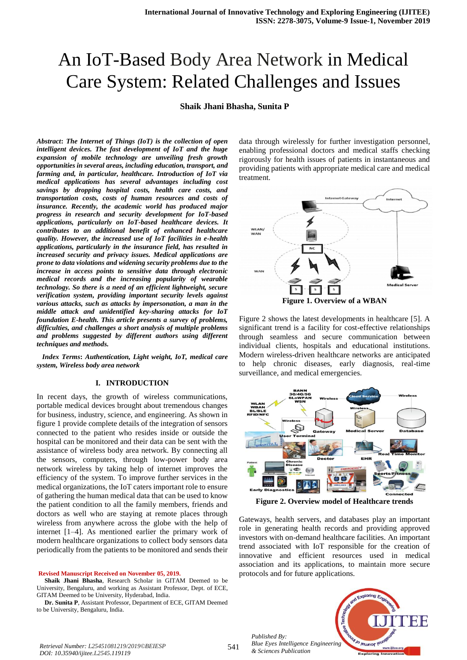## **Shaik Jhani Bhasha, Sunita P**

*Abstract***:** *The Internet of Things (IoT) is the collection of open intelligent devices. The fast development of IoT and the huge expansion of mobile technology are unveiling fresh growth opportunities in several areas, including education, transport, and farming and, in particular, healthcare. Introduction of IoT via medical applications has several advantages including cost savings by dropping hospital costs, health care costs, and transportation costs, costs of human resources and costs of insurance. Recently, the academic world has produced major progress in research and security development for IoT-based applications, particularly on IoT-based healthcare devices. It contributes to an additional benefit of enhanced healthcare quality. However, the increased use of IoT facilities in e-health applications, particularly in the insurance field, has resulted in increased security and privacy issues. Medical applications are prone to data violations and widening security problems due to the increase in access points to sensitive data through electronic medical records and the increasing popularity of wearable technology. So there is a need of an efficient lightweight, secure verification system, providing important security levels against various attacks, such as attacks by impersonation, a man in the middle attack and unidentified key-sharing attacks for IoT foundation E-health. This article presents a survey of problems, difficulties, and challenges a short analysis of multiple problems and problems suggested by different authors using different techniques and methods.*

*Index Terms***:** *Authentication, Light weight, IoT, medical care system, Wireless body area network*

## **I. INTRODUCTION**

In recent days, the growth of wireless communications, portable medical devices brought about tremendous changes for business, industry, science, and engineering. As shown in figure 1 provide complete details of the integration of sensors connected to the patient who resides inside or outside the hospital can be monitored and their data can be sent with the assistance of wireless body area network. By connecting all the sensors, computers, through low-power body area network wireless by taking help of internet improves the efficiency of the system. To improve further services in the medical organizations, the IoT caters important role to ensure of gathering the human medical data that can be used to know the patient condition to all the family members, friends and doctors as well who are staying at remote places through wireless from anywhere across the globe with the help of internet [1–4]. As mentioned earlier the primary work of modern healthcare organizations to collect body sensors data periodically from the patients to be monitored and sends their

**Revised Manuscript Received on November 05, 2019.**

**Shaik Jhani Bhasha**, Research Scholar in GITAM Deemed to be University, Bengaluru, and working as Assistant Professor, Dept. of ECE, GITAM Deemed to be University, Hyderabad, India.

**Dr. Sunita P**, Assistant Professor, Department of ECE, GITAM Deemed to be University, Bengaluru, India.

data through wirelessly for further investigation personnel, enabling professional doctors and medical staffs checking rigorously for health issues of patients in instantaneous and providing patients with appropriate medical care and medical treatment.



Figure 2 shows the latest developments in healthcare [5]. A significant trend is a facility for cost-effective relationships through seamless and secure communication between individual clients, hospitals and educational institutions. Modern wireless-driven healthcare networks are anticipated to help chronic diseases, early diagnosis, real-time surveillance, and medical emergencies.



**Figure 2. Overview model of Healthcare trends**

Gateways, health servers, and databases play an important role in generating health records and providing approved investors with on-demand healthcare facilities. An important trend associated with IoT responsible for the creation of innovative and efficient resources used in medical association and its applications, to maintain more secure protocols and for future applications.

*Published By: Blue Eyes Intelligence Engineering & Sciences Publication* 



*Retrieval Number: L25451081219/2019©BEIESP DOI: 10.35940/ijitee.L2545.119119*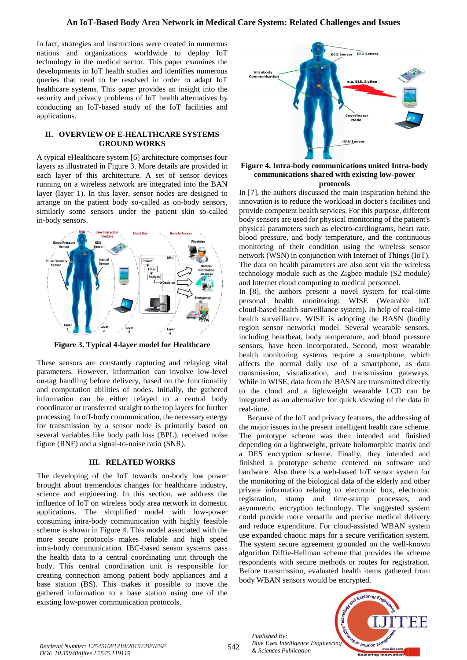In fact, strategies and instructions were created in numerous nations and organizations worldwide to deploy IoT technology in the medical sector. This paper examines the developments in IoT health studies and identifies numerous queries that need to be resolved in order to adapt IoT healthcare systems. This paper provides an insight into the security and privacy problems of IoT health alternatives by conducting an IoT-based study of the IoT facilities and applications.

#### **II. OVERVIEW OF E-HEALTHCARE SYSTEMS GROUND WORKS**

A typical eHealthcare system [6] architecture comprises four layers as illustrated in Figure 3. More details are provided in each layer of this architecture. A set of sensor devices running on a wireless network are integrated into the BAN layer (layer 1). In this layer, sensor nodes are designed to arrange on the patient body so-called as on-body sensors, similarly some sensors under the patient skin so-called in-body sensors.



**Figure 3. Typical 4-layer model for Healthcare** 

These sensors are constantly capturing and relaying vital parameters. However, information can involve low-level on-tag handling before delivery, based on the functionality and computation abilities of nodes. Initially, the gathered information can be either relayed to a central body coordinator or transferred straight to the top layers for further processing. In off-body communication, the necessary energy for transmission by a sensor node is primarily based on several variables like body path loss (BPL), received noise figure (RNF) and a signal-to-noise ratio (SNR).

#### **III. RELATED WORKS**

The developing of the IoT towards on-body low power brought about tremendous changes for healthcare industry, science and engineering. In this section, we address the influence of IoT on wireless body area network in domestic applications. The simplified model with low-power consuming intra-body communication with highly feasible scheme is shown in Figure 4. This model associated with the more secure protocols makes reliable and high speed intra-body communication. IBC-based sensor systems pass the health data to a central coordinating unit through the body. This central coordination unit is responsible for creating connection among patient body appliances and a base station (BS). This makes it possible to move the gathered information to a base station using one of the existing low-power communication protocols.



## **Figure 4. Intra-body communications united Intra-body communications shared with existing low-power protocols**

In [7], the authors discussed the main inspiration behind the innovation is to reduce the workload in doctor's facilities and provide competent health services. For this purpose, different body sensors are used for physical monitoring of the patient's physical parameters such as electro-cardiograms, heart rate, blood pressure, and body temperature, and the continuous monitoring of their condition using the wireless sensor network (WSN) in conjunction with Internet of Things (IoT). The data on health parameters are also sent via the wireless technology module such as the Zigbee module (S2 module) and Internet cloud computing to medical personnel.

In [8], the authors present a novel system for real-time personal health monitoring: WISE (Wearable IoT cloud-based health surveillance system). In help of real-time health surveillance, WISE is adopting the BASN (bodily region sensor network) model. Several wearable sensors, including heartbeat, body temperature, and blood pressure sensors, have been incorporated. Second, most wearable health monitoring systems require a smartphone, which affects the normal daily use of a smartphone, as data transmission, visualization, and transmission gateways. While in WISE, data from the BASN are transmitted directly to the cloud and a lightweight wearable LCD can be integrated as an alternative for quick viewing of the data in real-time.

Because of the IoT and privacy features, the addressing of the major issues in the present intelligent health care scheme. The prototype scheme was then intended and finished depending on a lightweight, private holomorphic matrix and a DES encryption scheme. Finally, they intended and finished a prototype scheme centered on software and hardware. Also there is a web-based IoT sensor system for the monitoring of the biological data of the elderly and other private information relating to electronic box, electronic registration, stamp and time-stamp processes, and asymmetric encryption technology. The suggested system could provide more versatile and precise medical delivery and reduce expenditure. For cloud-assisted WBAN system use expanded chaotic maps for a secure verification system. The system secure agreement grounded on the well-known algorithm Diffie-Hellman scheme that provides the scheme respondents with secure methods or routes for registration. Before transmission, evaluated health items gathered from body WBAN sensors would be encrypted.



*Retrieval Number: L25451081219/2019©BEIESP DOI: 10.35940/ijitee.L2545.119119*

542

*Published By:*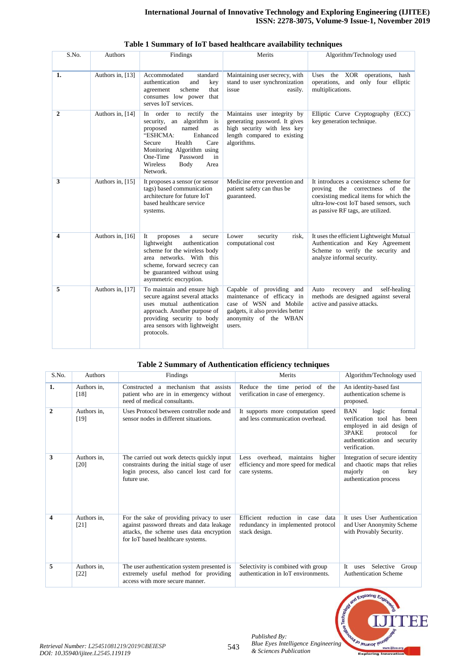| S.No.          | Authors          | Findings                                                                                                                                                                                                                                                 | Merits                                                                                                                                                  | Algorithm/Technology used                                                                                                                                                                               |
|----------------|------------------|----------------------------------------------------------------------------------------------------------------------------------------------------------------------------------------------------------------------------------------------------------|---------------------------------------------------------------------------------------------------------------------------------------------------------|---------------------------------------------------------------------------------------------------------------------------------------------------------------------------------------------------------|
| 1.             | Authors in, [13] | Accommodated<br>standard<br>authentication<br>and<br>key<br>scheme<br>that<br>agreement<br>consumes low power that<br>serves IoT services.                                                                                                               | Maintaining user secrecy, with<br>stand to user synchronization<br>issue<br>easily.                                                                     | Uses the XOR operations, hash<br>operations, and only four elliptic<br>multiplications.                                                                                                                 |
| $\overline{2}$ | Authors in, [14] | In order to rectify<br>the<br>security, an algorithm is<br>proposed<br>named<br><b>as</b><br>"ESHCMA:<br>Enhanced<br>Health<br>Secure<br>Care<br>Monitoring Algorithm using<br>One-Time<br>Password<br>in<br><b>Wireless</b><br>Body<br>Area<br>Network. | Maintains user integrity by<br>generating password. It gives<br>high security with less key<br>length compared to existing<br>algorithms.               | Elliptic Curve Cryptography<br>(ECC)<br>key generation technique.                                                                                                                                       |
| 3              | Authors in, [15] | It proposes a sensor (or sensor<br>tags) based communication<br>architecture for future IoT<br>based healthcare service<br>systems.                                                                                                                      | Medicine error prevention and<br>patient safety can thus be<br>guaranteed.                                                                              | It introduces a coexistence scheme for<br>proving the correctness<br>of<br>the<br>coexisting medical items for which the<br>ultra-low-cost IoT based sensors, such<br>as passive RF tags, are utilized. |
| 4              | Authors in, [16] | It<br>proposes<br>$\mathbf{a}$<br>secure<br>lightweight<br>authentication<br>scheme for the wireless body<br>area networks. With this<br>scheme, forward secrecy can<br>be guaranteed without using<br>asymmetric encryption.                            | Lower<br>security<br>risk.<br>computational cost                                                                                                        | It uses the efficient Lightweight Mutual<br>Authentication and Key Agreement<br>Scheme to verify the security and<br>analyze informal security.                                                         |
| 5              | Authors in, [17] | To maintain and ensure high<br>secure against several attacks<br>uses mutual authentication<br>approach. Another purpose of<br>providing security to body<br>area sensors with lightweight<br>protocols.                                                 | Capable of providing and<br>maintenance of efficacy in<br>case of WSN and Mobile<br>gadgets, it also provides better<br>anonymity of the WBAN<br>users. | self-healing<br>Auto<br>recovery<br>and<br>methods are designed against several<br>active and passive attacks.                                                                                          |

# **Table 1 Summary of IoT based healthcare availability techniques**

# **Table 2 Summary of Authentication efficiency techniques**

| S.No.          | <b>Authors</b>        | Findings                                                                                                                                                                | Merits                                                                                             | Algorithm/Technology used                                                                                                                                            |
|----------------|-----------------------|-------------------------------------------------------------------------------------------------------------------------------------------------------------------------|----------------------------------------------------------------------------------------------------|----------------------------------------------------------------------------------------------------------------------------------------------------------------------|
| 1.             | Authors in.<br>[18]   | Constructed a mechanism that assists<br>patient who are in in emergency without<br>need of medical consultants.                                                         | Reduce the time period of the<br>verification in case of emergency.                                | An identity-based fast<br>authentication scheme is<br>proposed.                                                                                                      |
| $\overline{2}$ | Authors in.<br>[19]   | Uses Protocol between controller node and<br>sensor nodes in different situations.                                                                                      | It supports more computation speed<br>and less communication overhead.                             | <b>BAN</b><br>logic<br>formal<br>verification tool has been<br>employed in aid design of<br>3PAKE<br>protocol<br>for<br>authentication and security<br>verification. |
| 3              | Authors in.<br>$[20]$ | The carried out work detects quickly input<br>constraints during the initial stage of user<br>login process, also cancel lost card for<br>future use.                   | overhead.<br>maintains<br>higher<br>Less<br>efficiency and more speed for medical<br>care systems. | Integration of secure identity<br>and chaotic maps that relies<br>majorly<br>$_{\rm on}$<br>key<br>authentication process                                            |
| 4              | Authors in,<br>[21]   | For the sake of providing privacy to user<br>against password threats and data leakage<br>attacks, the scheme uses data encryption<br>for IoT based healthcare systems. | Efficient reduction in case<br>data<br>redundancy in implemented protocol<br>stack design.         | It uses User Authentication<br>and User Anonymity Scheme<br>with Provably Security.                                                                                  |
| 5              | Authors in,<br>$[22]$ | The user authentication system presented is<br>extremely useful method for providing<br>access with more secure manner.                                                 | Selectivity is combined with group<br>authentication in IoT environments.                          | Selective<br>It<br>Group<br>uses<br><b>Authentication Scheme</b>                                                                                                     |



*Published By:*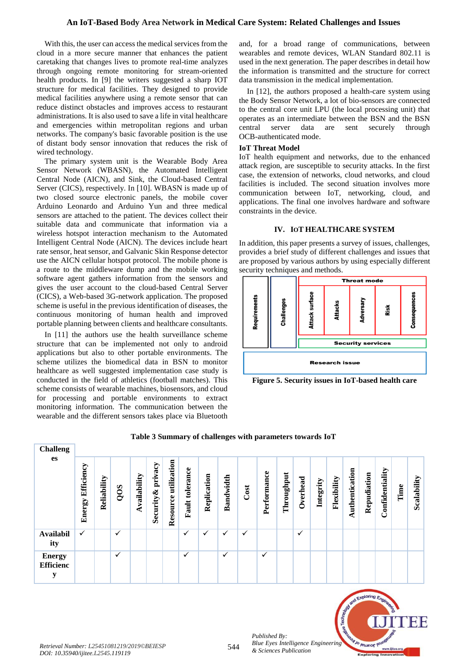With this, the user can access the medical services from the cloud in a more secure manner that enhances the patient caretaking that changes lives to promote real-time analyzes through ongoing remote monitoring for stream-oriented health products. In [9] the writers suggested a sharp IOT structure for medical facilities. They designed to provide medical facilities anywhere using a remote sensor that can reduce distinct obstacles and improves access to restaurant administrations. It is also used to save a life in vital healthcare and emergencies within metropolitan regions and urban networks. The company's basic favorable position is the use of distant body sensor innovation that reduces the risk of wired technology.

The primary system unit is the Wearable Body Area Sensor Network (WBASN), the Automated Intelligent Central Node (AICN), and Sink, the Cloud-based Central Server (CICS), respectively. In [10]. WBASN is made up of two closed source electronic panels, the mobile cover Arduino Leonardo and Arduino Yun and three medical sensors are attached to the patient. The devices collect their suitable data and communicate that information via a wireless hotspot interaction mechanism to the Automated Intelligent Central Node (AICN). The devices include heart rate sensor, heat sensor, and Galvanic Skin Response detector use the AICN cellular hotspot protocol. The mobile phone is a route to the middleware dump and the mobile working software agent gathers information from the sensors and gives the user account to the cloud-based Central Server (CICS), a Web-based 3G-network application. The proposed scheme is useful in the previous identification of diseases, the continuous monitoring of human health and improved portable planning between clients and healthcare consultants.

In [11] the authors use the health surveillance scheme structure that can be implemented not only to android applications but also to other portable environments. The scheme utilizes the biomedical data in BSN to monitor healthcare as well suggested implementation case study is conducted in the field of athletics (football matches). This scheme consists of wearable machines, biosensors, and cloud for processing and portable environments to extract monitoring information. The communication between the wearable and the different sensors takes place via Bluetooth

and, for a broad range of communications, between wearables and remote devices, WLAN Standard 802.11 is used in the next generation. The paper describes in detail how the information is transmitted and the structure for correct data transmission in the medical implementation.

In [12], the authors proposed a health-care system using the Body Sensor Network, a lot of bio-sensors are connected to the central core unit LPU (the local processing unit) that operates as an intermediate between the BSN and the BSN central server data are sent securely through OCB-authenticated mode.

## **IoT Threat Model**

IoT health equipment and networks, due to the enhanced attack region, are susceptible to security attacks. In the first case, the extension of networks, cloud networks, and cloud facilities is included. The second situation involves more communication between IoT, networking, cloud, and applications. The final one involves hardware and software constraints in the device.

### **IV. IOT HEALTHCARE SYSTEM**

In addition, this paper presents a survey of issues, challenges, provides a brief study of different challenges and issues that are proposed by various authors by using especially different security techniques and methods.



**Figure 5. Security issues in IoT-based health care**

| <b>Challeng</b>                        |                      |             |              |              |                       |                         |                    |             |              |      |              |            |          |           |             |                |             |                 |      |             |
|----------------------------------------|----------------------|-------------|--------------|--------------|-----------------------|-------------------------|--------------------|-------------|--------------|------|--------------|------------|----------|-----------|-------------|----------------|-------------|-----------------|------|-------------|
| es                                     | Efficiency<br>Energy | Reliability | QOS          | Availability | privacy<br>Security & | utilization<br>Resource | tolerance<br>Fault | Replication | Bandwidth    | Cost | Performance  | Throughput | Overhead | Integrity | Flexibility | Authentication | Repudiation | Confidentiality | Time | Scalability |
| <b>Availabil</b><br>ity                | $\checkmark$         |             | ✓            |              |                       |                         | $\checkmark$       | ✓           | ✓            | ✓    |              |            | ✓        |           |             |                |             |                 |      |             |
| <b>Energy</b><br><b>Efficienc</b><br>y |                      |             | $\checkmark$ |              |                       |                         | ✓                  |             | $\checkmark$ |      | $\checkmark$ |            |          |           |             |                |             |                 |      |             |

## **Table 3 Summary of challenges with parameters towards IoT**



*Published By:*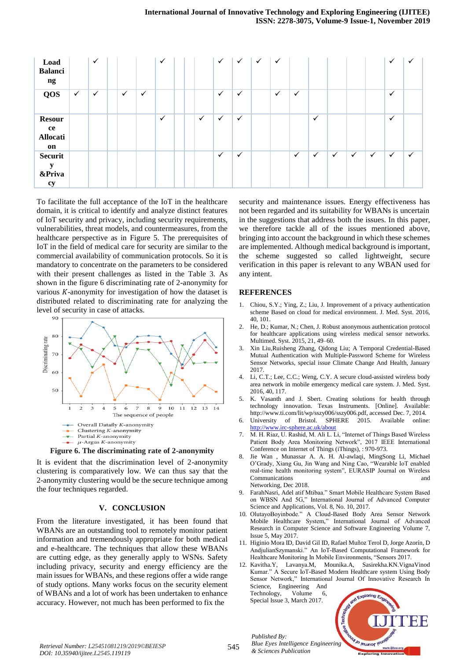| Load<br><b>Balanci</b><br>ng                   |              | $\checkmark$ |              |              | $\checkmark$ |  |              | $\checkmark$ | $\checkmark$ | $\checkmark$ | $\checkmark$ |              |              |              |              |              | $\checkmark$ | $\checkmark$ |
|------------------------------------------------|--------------|--------------|--------------|--------------|--------------|--|--------------|--------------|--------------|--------------|--------------|--------------|--------------|--------------|--------------|--------------|--------------|--------------|
| <b>QOS</b>                                     | $\checkmark$ | $\checkmark$ | $\checkmark$ | $\checkmark$ |              |  |              | $\checkmark$ | $\checkmark$ |              | $\checkmark$ | $\checkmark$ |              |              |              |              | $\checkmark$ |              |
| <b>Resour</b><br>ce<br>Allocati<br>on          |              |              |              |              | $\checkmark$ |  | $\checkmark$ | $\checkmark$ | $\checkmark$ |              |              |              | $\checkmark$ |              |              |              | $\checkmark$ |              |
| <b>Securit</b><br>y<br><b>&amp;Priva</b><br>cy |              |              |              |              |              |  |              | $\checkmark$ | $\checkmark$ |              |              | $\checkmark$ | $\checkmark$ | $\checkmark$ | $\checkmark$ | $\checkmark$ | $\checkmark$ | $\checkmark$ |

To facilitate the full acceptance of the IoT in the healthcare domain, it is critical to identify and analyze distinct features of IoT security and privacy, including security requirements, vulnerabilities, threat models, and countermeasures, from the healthcare perspective as in Figure 5. The prerequisites of IoT in the field of medical care for security are similar to the commercial availability of communication protocols. So it is mandatory to concentrate on the parameters to be considered with their present challenges as listed in the Table 3. As shown in the figure 6 discriminating rate of 2-anonymity for various  $K$ -anonymity for investigation of how the dataset is distributed related to discriminating rate for analyzing the level of security in case of attacks.



**Figure 6. The discriminating rate of 2-anonymity**

It is evident that the discrimination level of 2-anonymity clustering is comparatively low. We can thus say that the 2-anonymity clustering would be the secure technique among the four techniques regarded.

#### **V. CONCLUSION**

From the literature investigated, it has been found that WBANs are an outstanding tool to remotely monitor patient information and tremendously appropriate for both medical and e-healthcare. The techniques that allow these WBANs are cutting edge, as they generally apply to WSNs. Safety including privacy, security and energy efficiency are the main issues for WBANs, and these regions offer a wide range of study options. Many works focus on the security element of WBANs and a lot of work has been undertaken to enhance accuracy. However, not much has been performed to fix the

security and maintenance issues. Energy effectiveness has not been regarded and its suitability for WBANs is uncertain in the suggestions that address both the issues. In this paper, we therefore tackle all of the issues mentioned above, bringing into account the background in which these schemes are implemented. Although medical background is important, the scheme suggested so called lightweight, secure verification in this paper is relevant to any WBAN used for any intent.

#### **REFERENCES**

- 1. Chiou, S.Y.; Ying, Z.; Liu, J. Improvement of a privacy authentication scheme Based on cloud for medical environment. J. Med. Syst. 2016, 40, 101.
- 2. He, D.; Kumar, N.; Chen, J. Robust anonymous authentication protocol for healthcare applications using wireless medical sensor networks. Multimed. Syst. 2015, 21, 49–60.
- 3. Xin Liu,Ruisheng Zhang, Qidong Liu; A Temporal Credential-Based Mutual Authentication with Multiple-Password Scheme for Wireless Sensor Networks, special issue Climate Change And Health, January 2017.
- 4. Li, C.T.; Lee, C.C.; Weng, C.Y. A secure cloud-assisted wireless body area network in mobile emergency medical care system. J. Med. Syst. 2016, 40, 117.
- 5. K. Vasanth and J. Sbert. Creating solutions for health through technology innovation. Texas Instruments. [Online]. Available: http://www.ti.com/lit/wp/sszy006/sszy006.pdf, accessed Dec. 7, 2014.
- 6. University of Bristol. SPHERE 2015. Available online: http://www.irc-sphere.ac.uk/abo
- 7. M. H. Riaz, U. Rashid, M. Ali L. Li, "Internet of Things Based Wireless Patient Body Area Monitoring Network", 2017 IEEE International Conference on Internet of Things (iThings), : 970-973.
- 8. Jie Wan , Munassar A. A. H. Al-awlaqi, MingSong Li, Michael O'Grady, Xiang Gu, Jin Wang and Ning Cao, "Wearable IoT enabled real-time health monitoring system", EURASIP Journal on Wireless Communications and Networking, Dec 2018.
- 9. FarahNasri, Adel atif Mtibaa." Smart Mobile Healthcare System Based on WBSN And 5G," International Journal of Advanced Computer Science and Applications, Vol. 8, No. 10, 2017.
- 10. OlutayoBoyinbode." A Cloud-Based Body Area Sensor Network Mobile Healthcare System," International Journal of Advanced Research in Computer Science and Software Engineering Volume 7, Issue 5, May 2017.
- 11. Higinio Mora ID, David Gil ID, Rafael Muñoz Terol D, Jorge Azorín, D AndjulianSzymanski." An IoT-Based Computational Framework for Healthcare Monitoring In Mobile Environments, "Sensors 2017.
- 12. Kavitha.Y, Lavanya.M, Mounika.A, Sasirekha.KN.VignaVinod Kumar." A Secure IoT-Based Modern Healthcare system Using Body Sensor Network," International Journal Of Innovative Research In Science, Engineering And Technology, Volume 6,

Special Issue 3, March 2017.



*Published By: Blue Eyes Intelligence Engineering & Sciences Publication*